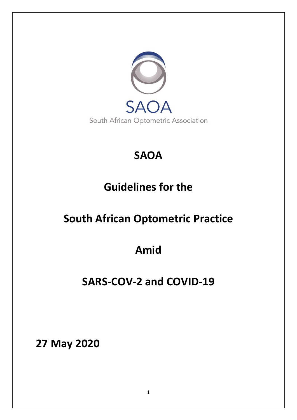

# **SAOA**

# **Guidelines for the**

# **South African Optometric Practice**

# **Amid**

# **SARS-COV-2 and COVID-19**

**27 May 2020**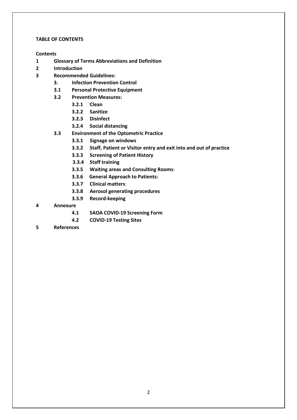### **TABLE OF CONTENTS**

# **Contents**

- **1 Glossary of Terms Abbreviations and Definition**
- **2 Introduction**
- **3 Recommended Guidelines:**
	- **3. Infection Prevention Control**
	- **3.1 Personal Protective Equipment**
	- **3.2 Prevention Measures:** 
		- **3.2.1 Clean**
		- **3.2.2 Sanitize**
		- **3.2.3 Disinfect**
		- **3.2.4 Social distancing**
	- **3.3 Environment of the Optometric Practice**
		- **3.3.1 Signage on windows**
		- **3.3.2 Staff, Patient or Visitor entry and exit into and out of practice**
		- **3.3.3 Screening of Patient History**
		- **3.3.4 Staff training**
		- **3.3.5 Waiting areas and Consulting Rooms**:
		- **3.3.6 General Approach to Patients:**
		- **3.3.7 Clinical matters**:
		- **3.3.8 Aerosol generating procedures**
		- **3.3.9 Record-keeping**

# **4 Annexure**

- **4.1 SAOA COVID-19 Screening Form**
- **4.2 COVID-19 Testing Sites**
- **5 References**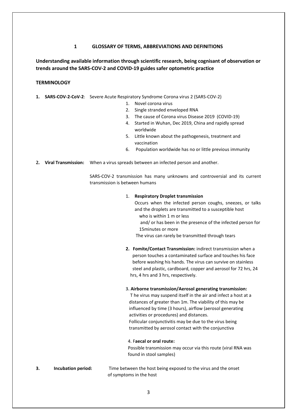### **1 GLOSSARY OF TERMS, ABBREVIATIONS AND DEFINITIONS**

# **Understanding available information through scientific research, being cognisant of observation or trends around the SARS-COV-2 and COVID-19 guides safer optometric practice**

#### **TERMINOLOGY**

- **1. SARS-COV-2-CoV-2**: Severe Acute Respiratory Syndrome Corona virus 2 (SARS-COV-2)
	- 1. Novel corona virus
	- 2. Single stranded enveloped RNA
	- 3. The cause of Corona virus Disease 2019 (COVID-19)
	- 4. Started in Wuhan, Dec 2019, China and rapidly spread worldwide
	- 5. Little known about the pathogenesis, treatment and vaccination
	- 6. Population worldwide has no or little previous immunity
- **2. Viral Transmission:** When a virus spreads between an infected person and another.

SARS-COV-2 transmission has many unknowns and controversial and its current transmission is between humans

#### 1. **Respiratory Droplet transmission**

Occurs when the infected person coughs, sneezes, or talks and the droplets are transmitted to a susceptible host who is within 1 m or less

 and/ or has been in the presence of the infected person for 15minutes or more

The virus can rarely be transmitted through tears

**2. Fomite/Contact Transmission:** indirect transmission when a person touches a contaminated surface and touches his face before washing his hands. The virus can survive on stainless steel and plastic, cardboard, copper and aerosol for 72 hrs, 24 hrs, 4 hrs and 3 hrs, respectively.

#### **3. Airborne transmission/Aerosol generating transmission:**

 T he virus may suspend itself in the air and infect a host at a distances of greater than 1m. The viability of this may be influenced by time (3 hours), airflow (aerosol generating activities or procedures) and distances. Follicular conjunctivitis may be due to the virus being transmitted by aerosol contact with the conjunctiva

#### 4. F**aecal or oral route:**

 Possible transmission may occur via this route (viral RNA was found in stool samples)

**3. Incubation period:** Time between the host being exposed to the virus and the onset of symptoms in the host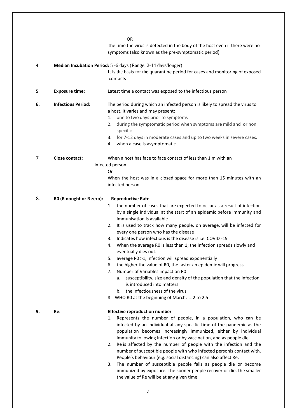OR the time the virus is detected in the body of the host even if there were no symptoms (also known as the pre-symptomatic period) **4 Median Incubation Period:** 5 -6 days (Range: 2-14 days/longer) It is the basis for the quarantine period for cases and monitoring of exposed contacts **5** E**xposure time:** Latest time a contact was exposed to the infectious person **6. Infectious Period: T**he period during which an infected person is likely to spread the virus to a host. It varies and may present: 1. one to two days prior to symptoms 2. during the symptomatic period when symptoms are mild and or non specific 3. for 7-12 days in moderate cases and up to two weeks in severe cases. 4. when a case is asymptomatic 7 **Close contact:** When a host has face to face contact of less than 1 m with an infected person Or When the host was in a closed space for more than 15 minutes with an infected person 8. **R0 (R nought or R zero): Reproductive Rate** 1. the number of cases that are expected to occur as a result of infection by a single individual at the start of an epidemic before immunity and immunisation is available 2. It is used to track how many people, on average, will be infected for every one person who has the disease 3. Indicates how infectious is the disease is i.e. COVID -19 4. When the average R0 is less than 1; the infection spreads slowly and eventually dies out. 5. average R0 >1, infection will spread exponentially 6. the higher the value of R0, the faster an epidemic will progress. 7. Number of Variables impact on R0 a. susceptibility, size and density of the population that the infection is introduced into matters b. the infectiousness of the virus 8 WHO R0 at the beginning of March: = 2 to 2.5 **9. Re: Effective reproduction number** 1. Represents the number of people, in a population, who can be infected by an individual at any specific time of the pandemic as the population becomes increasingly immunized, either by individual immunity following infection or by vaccination, and as people die. 2. Re is affected by the number of people with the infection and the number of susceptible people with who infected personis contact with. People's behaviour (e.g. social distancing) can also affect Re. 3. The number of susceptible people falls as people die or become immunized by exposure. The sooner people recover or die, the smaller

4

the value of Re will be at any given time.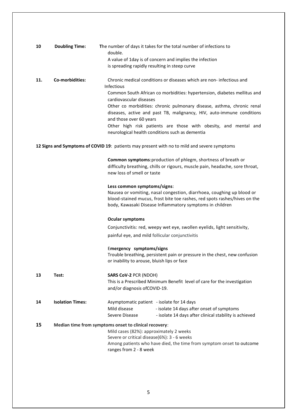| 10  | <b>Doubling Time:</b>   | The number of days it takes for the total number of infections to<br>double.                                       |
|-----|-------------------------|--------------------------------------------------------------------------------------------------------------------|
|     |                         | A value of 1day is of concern and implies the infection                                                            |
|     |                         | is spreading rapidly resulting in steep curve                                                                      |
|     |                         |                                                                                                                    |
| 11. | Co-morbidities:         | Chronic medical conditions or diseases which are non- infectious and                                               |
|     |                         | <b>Infectious</b>                                                                                                  |
|     |                         | Common South African co morbidities: hypertension, diabetes mellitus and                                           |
|     |                         | cardiovascular diseases                                                                                            |
|     |                         | Other co morbidities: chronic pulmonary disease, asthma, chronic renal                                             |
|     |                         | diseases, active and past TB, malignancy, HIV, auto-immune conditions                                              |
|     |                         | and those over 60 years                                                                                            |
|     |                         | Other high risk patients are those with obesity, and mental and<br>neurological health conditions such as dementia |
|     |                         |                                                                                                                    |
|     |                         | 12 Signs and Symptoms of COVID 19: patients may present with no to mild and severe symptoms                        |
|     |                         |                                                                                                                    |
|     |                         | Common symptoms: production of phlegm, shortness of breath or                                                      |
|     |                         | difficulty breathing, chills or rigours, muscle pain, headache, sore throat,                                       |
|     |                         | new loss of smell or taste                                                                                         |
|     |                         |                                                                                                                    |
|     |                         | Less common symptoms/signs:                                                                                        |
|     |                         | Nausea or vomiting, nasal congestion, diarrhoea, coughing up blood or                                              |
|     |                         | blood-stained mucus, frost bite toe rashes, red spots rashes/hives on the                                          |
|     |                         | body, Kawasaki Disease Inflammatory symptoms in children                                                           |
|     |                         | <b>Ocular symptoms</b>                                                                                             |
|     |                         | Conjunctivitis: red, weepy wet eye, swollen eyelids, light sensitivity,                                            |
|     |                         |                                                                                                                    |
|     |                         | painful eye, and mild follicular conjunctivitis                                                                    |
|     |                         | Emergency symptoms/signs                                                                                           |
|     |                         | Trouble breathing, persistent pain or pressure in the chest, new confusion                                         |
|     |                         | or inability to arouse, bluish lips or face                                                                        |
|     |                         |                                                                                                                    |
| 13  | Test:                   | <b>SARS CoV-2 PCR (NDOH)</b>                                                                                       |
|     |                         | This is a Prescribed Minimum Benefit level of care for the investigation                                           |
|     |                         | and/or diagnosis ofCOVID-19.                                                                                       |
|     |                         |                                                                                                                    |
| 14  | <b>Isolation Times:</b> | Asymptomatic patient - isolate for 14 days                                                                         |
|     |                         | Mild disease<br>- isolate 14 days after onset of symptoms                                                          |

Severe Disease - isolate 14 days after clinical stability is achieved **15 Median time from symptoms onset to clinical recovery**: Mild cases (82%): approximately 2 weeks Severe or critical disease(6%): 3 - 6 weeks Among patients who have died, the time from symptom onset to outcome ranges from 2 - 8 week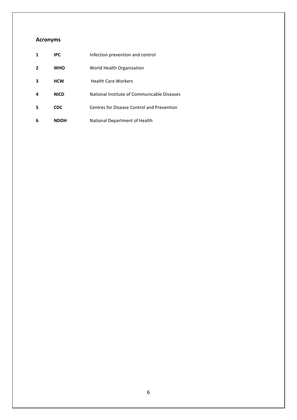# **Acronyms**

| 1              | <b>IPC</b>  | Infection prevention and control            |
|----------------|-------------|---------------------------------------------|
| $\overline{2}$ | <b>WHO</b>  | World Health Organisation                   |
| 3              | <b>HCW</b>  | <b>Health Care Workers</b>                  |
| 4              | <b>NICD</b> | National Institute of Communicable Diseases |
| 5              | <b>CDC</b>  | Centres for Disease Control and Prevention  |
| 6              | <b>NDOH</b> | National Department of Health               |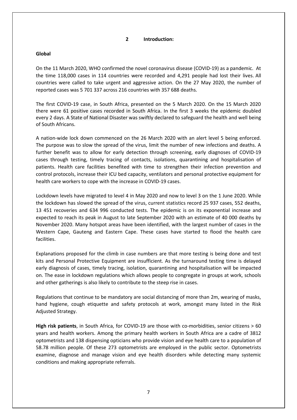#### **2 Introduction:**

# **Global**

On the 11 March 2020, WHO confirmed the novel coronavirus disease (COVID-19) as a pandemic. At the time 118,000 cases in 114 countries were recorded and 4,291 people had lost their lives. All countries were called to take urgent and aggressive action. On the 27 May 2020, the number of reported cases was 5 701 337 across 216 countries with 357 688 deaths.

The first COVID-19 case, in South Africa, presented on the 5 March 2020. On the 15 March 2020 there were 61 positive cases recorded in South Africa. In the first 3 weeks the epidemic doubled every 2 days. A State of National Disaster was swiftly declared to safeguard the health and well being of South Africans.

A nation-wide lock down commenced on the 26 March 2020 with an alert level 5 being enforced. The purpose was to slow the spread of the virus, limit the number of new infections and deaths. A further benefit was to allow for early detection through screening, early diagnoses of COVID-19 cases through testing, timely tracing of contacts, isolations, quarantining and hospitalisation of patients. Health care facilities benefited with time to strengthen their infection prevention and control protocols, increase their ICU bed capacity, ventilators and personal protective equipment for health care workers to cope with the increase in COVID-19 cases.

Lockdown levels have migrated to level 4 in May 2020 and now to level 3 on the 1 June 2020. While the lockdown has slowed the spread of the virus, current statistics record 25 937 cases, 552 deaths, 13 451 recoveries and 634 996 conducted tests. The epidemic is on its exponential increase and expected to reach its peak in August to late September 2020 with an estimate of 40 000 deaths by November 2020. Many hotspot areas have been identified, with the largest number of cases in the Western Cape, Gauteng and Eastern Cape. These cases have started to flood the health care facilities.

Explanations proposed for the climb in case numbers are that more testing is being done and test kits and Personal Protective Equipment are insufficient. As the turnaround testing time is delayed early diagnosis of cases, timely tracing, isolation, quarantining and hospitalisation will be impacted on. The ease in lockdown regulations which allows people to congregate in groups at work, schools and other gatherings is also likely to contribute to the steep rise in cases.

Regulations that continue to be mandatory are social distancing of more than 2m, wearing of masks, hand hygiene, cough etiquette and safety protocols at work, amongst many listed in the Risk Adjusted Strategy.

**High risk patients**, in South Africa, for COVID-19 are those with co-morbidities, senior citizens > 60 years and health workers. Among the primary health workers in South Africa are a cadre of 3812 optometrists and 138 dispensing opticians who provide vision and eye health care to a population of 58.78 million people. Of these 273 optometrists are employed in the public sector. Optometrists examine, diagnose and manage vision and eye health disorders while detecting many systemic conditions and making appropriate referrals.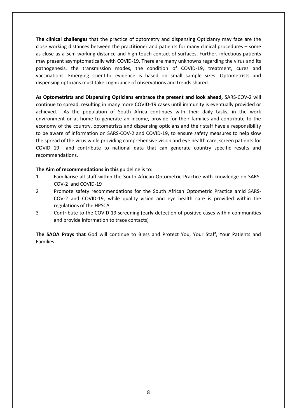**The clinical challenges** that the practice of optometry and dispensing Opticianry may face are the **c**lose working distances between the practitioner and patients for many clinical procedures – some as close as a 5cm working distance and high touch contact of surfaces. Further, infectious patients may present asymptomatically with COVID-19. There are many unknowns regarding the virus and its pathogenesis, the transmission modes, the condition of COVID-19, treatment, cures and vaccinations. Emerging scientific evidence is based on small sample sizes. Optometrists and dispensing opticians must take cognizance of observations and trends shared.

**As Optometrists and Dispensing Opticians embrace the present and look ahead,** SARS-COV-2 will continue to spread, resulting in many more COVID-19 cases until immunity is eventually provided or achieved. As the population of South Africa continues with their daily tasks, in the work environment or at home to generate an income, provide for their families and contribute to the economy of the country, optometrists and dispensing opticians and their staff have a responsibility to be aware of information on SARS-COV-2 and COVID-19, to ensure safety measures to help slow the spread of the virus while providing comprehensive vision and eye health care, screen patients for COVID 19 and contribute to national data that can generate country specific results and recommendations.

# **The Aim of recommendations in this** guideline is to:

- 1 Familiarise all staff within the South African Optometric Practice with knowledge on SARS-COV-2 and COVID-19
- 2 Promote safety recommendations for the South African Optometric Practice amid SARS-COV-2 and COVID-19, while quality vision and eye health care is provided within the regulations of the HPSCA
- 3 Contribute to the COVID-19 screening (early detection of positive cases within communities and provide information to trace contacts)

**The SAOA Prays that** God will continue to Bless and Protect You, Your Staff, Your Patients and Families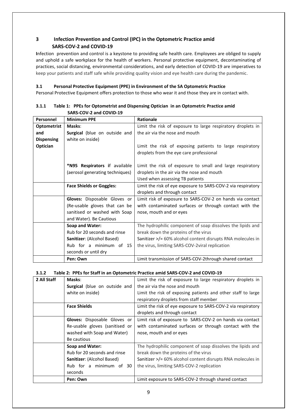# **3 Infection Prevention and Control (IPC) in the Optometric Practice amid SARS-COV-2 and COVID-19**

**I**nfection prevention and control is a keystone to providing safe health care. Employees are obliged to supply and uphold a safe workplace for the health of workers. Personal protective equipment, decontaminating of practices, social distancing, environmental considerations, and early detection of COVID-19 are imperatives to keep your patients and staff safe while providing quality vision and eye health care during the pandemic.

# **3.1 Personal Protective Equipment (PPE) in Environment of the SA Optometric Practice**

Personal Protective Equipment offers protection to those who wear it and those they are in contact with.

| Personnel                       | <b>Minimum PPE</b>                                              | <b>Rationale</b>                                             |  |
|---------------------------------|-----------------------------------------------------------------|--------------------------------------------------------------|--|
| <b>Optometrist</b>              | Masks:                                                          | Limit the risk of exposure to large respiratory droplets in  |  |
| and                             | the air via the nose and mouth<br>Surgical (blue on outside and |                                                              |  |
| <b>Dispensing</b>               | white on inside)                                                |                                                              |  |
| Optician                        |                                                                 | Limit the risk of exposing patients to large respiratory     |  |
|                                 |                                                                 | droplets from the eye care professional                      |  |
|                                 |                                                                 |                                                              |  |
|                                 | *N95 Respirators if available                                   | Limit the risk of exposure to small and large respiratory    |  |
|                                 | (aerosol generating techniques)                                 | droplets in the air via the nose and mouth                   |  |
|                                 |                                                                 | Used when assessing TB patients                              |  |
| <b>Face Shields or Goggles:</b> |                                                                 | Limit the risk of eye exposure to SARS-COV-2 via respiratory |  |
|                                 |                                                                 | droplets and through contact                                 |  |
| Gloves: Disposable Gloves or    |                                                                 | Limit risk of exposure to SARS-COV-2 on hands via contact    |  |
| (Re-usable gloves that can be   |                                                                 | with contaminated surfaces or through contact with the       |  |
| sanitised or washed with Soap   |                                                                 | nose, mouth and or eyes                                      |  |
|                                 | and Water). Be Cautious                                         |                                                              |  |
|                                 | Soap and Water:                                                 | The hydrophilic component of soap dissolves the lipids and   |  |
|                                 | Rub for 20 seconds and rinse                                    | break down the proteins of the virus                         |  |
|                                 | Sanitizer: (Alcohol Based)                                      | Sanitizer >/= 60% alcohol content disrupts RNA molecules in  |  |
|                                 | Rub for a minimum of 15                                         | the virus, limiting SARS-COV-2 viral replication             |  |
|                                 | seconds or until dry                                            |                                                              |  |
|                                 | Pen: Own                                                        | Limit transmission of SARS-COV-2through shared contact       |  |

### **3.1.1 Table 1: PPEs for Optometrist and Dispensing Optician in an Optometric Practice amid SARS-COV-2 and COVID-19**

# **3.1.2 Table 2: PPEs for Staff in an Optometric Practice amid SARS-COV-2 and COVID-19**

| 2 All Staff | Masks:                               | Limit the risk of exposure to large respiratory droplets in  |  |
|-------------|--------------------------------------|--------------------------------------------------------------|--|
|             | <b>Surgical</b> (blue on outside and | the air via the nose and mouth                               |  |
|             | white on inside)                     | Limit the risk of exposing patients and other staff to large |  |
|             |                                      | respiratory droplets from staff member                       |  |
|             | <b>Face Shields</b>                  | Limit the risk of eye exposure to SARS-COV-2 via respiratory |  |
|             |                                      | droplets and through contact                                 |  |
|             | Gloves: Disposable Gloves or         | Limit risk of exposure to SARS-COV-2 on hands via contact    |  |
|             | Re-usable gloves (sanitised or       | with contaminated surfaces or through contact with the       |  |
|             | washed with Soap and Water)          | nose, mouth and or eyes                                      |  |
|             | Be cautious                          |                                                              |  |
|             | Soap and Water:                      | The hydrophilic component of soap dissolves the lipids and   |  |
|             | Rub for 20 seconds and rinse         | break down the proteins of the virus                         |  |
|             | Sanitizer: (Alcohol Based)           | Sanitizer >/= 60% alcohol content disrupts RNA molecules in  |  |
|             | Rub for a minimum of 30              | the virus, limiting SARS-COV-2 replication                   |  |
|             | seconds                              |                                                              |  |
|             | Pen: Own                             | Limit exposure to SARS-COV-2 through shared contact          |  |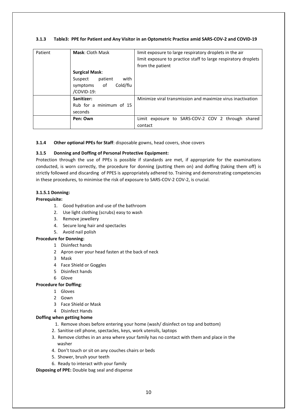# **3.1.3 Table3: PPE for Patient and Any Visitor in an Optometric Practice amid SARS-COV-2 and COVID-19**

| Patient | <b>Mask: Cloth Mask</b>                                                                      | limit exposure to large respiratory droplets in the air<br>limit exposure to practice staff to large respiratory droplets<br>from the patient |  |
|---------|----------------------------------------------------------------------------------------------|-----------------------------------------------------------------------------------------------------------------------------------------------|--|
|         | <b>Surgical Mask:</b><br>patient<br>with<br>Suspect<br>Cold/flu<br>symptoms of<br>/COVID-19: |                                                                                                                                               |  |
|         | Sanitizer:<br>Rub for a minimum of 15<br>seconds                                             | Minimize viral transmission and maximize virus inactivation                                                                                   |  |
|         | Pen: Own                                                                                     | Limit exposure to SARS-COV-2 COV 2 through shared<br>contact                                                                                  |  |

#### **3.1.4 Other optional PPEs for Staff**: disposable gowns, head covers, shoe covers

#### **3.1.5 Donning and Doffing of Personal Protective Equipment:**

Protection through the use of PPEs is possible if standards are met, if appropriate for the examinations conducted, is worn correctly, the procedure for donning (putting them on) and doffing (taking them off) is strictly followed and discarding of PPES is appropriately adhered to. Training and demonstrating competencies in these procedures, to minimise the risk of exposure to SARS-COV-2 COV-2, is crucial.

#### **3.1.5.1 Donning:**

#### **Prerequisite:**

- 1. Good hydration and use of the bathroom
- 2. Use light clothing (scrubs) easy to wash
- 3. Remove jewellery
- 4. Secure long hair and spectacles
- 5. Avoid nail polish

#### **Procedure for Donning:**

- 1 Disinfect hands
- 2 Apron over your head fasten at the back of neck
- 3 Mask
- 4 Face Shield or Goggles
- 5 Disinfect hands
- 6 Glove

# **Procedure for Doffing**:

- 1 Gloves
- 2 Gown
- 3 Face Shield or Mask
- 4 Disinfect Hands

# **Doffing when getting home**

- 1. Remove shoes before entering your home (wash/ disinfect on top and bottom)
- 2. Sanitise cell phone, spectacles, keys, work utensils, laptops
- 3. Remove clothes in an area where your family has no contact with them and place in the washer
- 4. Don't touch or sit on any couches chairs or beds
- 5. Shower, brush your teeth
- 6. Ready to interact with your family

**Disposing of PPE:** Double bag seal and dispense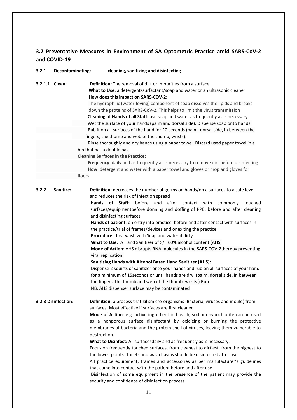# **3.2 Preventative Measures in Environment of SA Optometric Practice amid SARS-CoV-2 and COVID-19**

| 3.2.1               | Decontaminating: | cleaning, sanitizing and disinfecting                                                                                                                                                                                                                                                                                                                                                                                                                                                                                                                                                                                                                                                                                                                                                                                                                                                                                                                                                                                                                                            |  |
|---------------------|------------------|----------------------------------------------------------------------------------------------------------------------------------------------------------------------------------------------------------------------------------------------------------------------------------------------------------------------------------------------------------------------------------------------------------------------------------------------------------------------------------------------------------------------------------------------------------------------------------------------------------------------------------------------------------------------------------------------------------------------------------------------------------------------------------------------------------------------------------------------------------------------------------------------------------------------------------------------------------------------------------------------------------------------------------------------------------------------------------|--|
| 3.2.1.1 Clean:      |                  | Definition: The removal of dirt or impurities from a surface<br>What to Use: a detergent/surfactant/soap and water or an ultrasonic cleaner<br>How does this impact on SARS-COV-2:<br>The hydrophilic (water-loving) component of soap dissolves the lipids and breaks<br>down the proteins of SARS-CoV-2. This helps to limit the virus transmission<br>Cleaning of Hands of all Staff: use soap and water as frequently as is necessary<br>Wet the surface of your hands (palm and dorsal side). Dispense soap onto hands.<br>Rub it on all surfaces of the hand for 20 seconds (palm, dorsal side, in between the<br>fingers, the thumb and web of the thumb, wrists).<br>Rinse thoroughly and dry hands using a paper towel. Discard used paper towel in a<br>bin that has a double bag<br><b>Cleaning Surfaces in the Practice:</b><br>Frequency: daily and as frequently as is necessary to remove dirt before disinfecting<br>How: detergent and water with a paper towel and gloves or mop and gloves for<br>floors                                                      |  |
| 3.2.2               | Sanitize:        | Definition: decreases the number of germs on hands/on a surfaces to a safe level<br>and reduces the risk of infection spread<br>Hands of Staff:<br>before and after contact with<br>commonly<br>touched<br>surfaces/equipmentbefore donning and doffing of PPE, before and after cleaning<br>and disinfecting surfaces<br>Hands of patient: on entry into practice, before and after contact with surfaces in<br>the practice/trial of frames/devices and onexiting the practice<br>Procedure: first wash with Soap and water if dirty<br>What to Use: A Hand Sanitizer of >/= 60% alcohol content (AHS)<br>Mode of Action: AHS disrupts RNA molecules in the SARS-COV-2thereby preventing<br>viral replication.<br><b>Sanitising Hands with Alcohol Based Hand Sanitizer (AHS):</b><br>Dispense 2 squirts of sanitizer onto your hands and rub on all surfaces of your hand<br>for a minimum of 15 seconds or until hands are dry. (palm, dorsal side, in between<br>the fingers, the thumb and web of the thumb, wrists.) Rub<br>NB: AHS dispenser surface may be contaminated |  |
| 3.2.3 Disinfection: |                  | Definition: a process that killsmicro-organisms (Bacteria, viruses and mould) from<br>surfaces. Most effective if surfaces are first cleaned<br>Mode of Action: e.g. active ingredient in bleach, sodium hypochlorite can be used<br>as a nonporous surface disinfectant by oxidizing or burning the protective<br>membranes of bacteria and the protein shell of viruses, leaving them vulnerable to<br>destruction.<br>What to Disinfect: All surfacesdaily and as frequently as is necessary.<br>Focus on frequently touched surfaces, from cleanest to dirtiest, from the highest to<br>the lowestpoints. Toilets and wash basins should be disinfected after use<br>All practice equipment, frames and accessories as per manufacturer's guidelines<br>that come into contact with the patient before and after use<br>Disinfection of some equipment in the presence of the patient may provide the<br>security and confidence of disinfection process                                                                                                                     |  |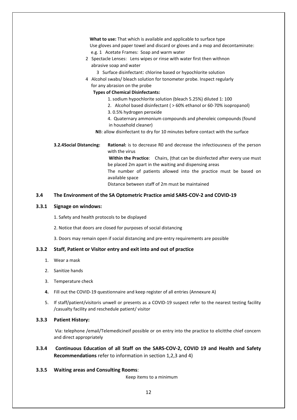| What to use: That which is available and applicable to surface type           |                                                                                             |  |  |
|-------------------------------------------------------------------------------|---------------------------------------------------------------------------------------------|--|--|
| Use gloves and paper towel and discard or gloves and a mop and decontaminate: |                                                                                             |  |  |
| e.g. 1 Acetate Frames: Soap and warm water                                    |                                                                                             |  |  |
| 2 Spectacle Lenses: Lens wipes or rinse with water first then withnon         |                                                                                             |  |  |
|                                                                               | abrasive soap and water                                                                     |  |  |
|                                                                               | 3 Surface disinfectant: chlorine based or hypochlorite solution                             |  |  |
|                                                                               | 4 Alcohol swabs/ bleach solution for tonometer probe. Inspect regularly                     |  |  |
|                                                                               | for any abrasion on the probe                                                               |  |  |
| <b>Types of Chemical Disinfectants:</b>                                       |                                                                                             |  |  |
|                                                                               | 1. sodium hypochlorite solution (bleach 5.25%) diluted 1: 100                               |  |  |
| 2. Alcohol based disinfectant ( > 60% ethanol or 60-70% isopropanol)          |                                                                                             |  |  |
| 3.0.5% hydrogen peroxide                                                      |                                                                                             |  |  |
|                                                                               | 4. Quaternary ammonium compounds and phenoleic compounds (found                             |  |  |
|                                                                               | in household cleaner)                                                                       |  |  |
| NB: allow disinfectant to dry for 10 minutes before contact with the surface  |                                                                                             |  |  |
| 3.2.4Social Distancing:                                                       | Rational: is to decrease RO and decrease the infectiousness of the person<br>with the virus |  |  |
|                                                                               | Within the Practice: Chairs, (that can be disinfected after every use must                  |  |  |
|                                                                               | be placed 2m apart in the waiting and dispensing areas                                      |  |  |
|                                                                               | The number of patients allowed into the practice must be based on<br>available space        |  |  |
|                                                                               | Distance between staff of 2m must be maintained                                             |  |  |

# **3.4 The Environment of the SA Optometric Practice amid SARS-COV-2 and COVID-19**

### **3.3.1 Signage on windows:**

1. Safety and health protocols to be displayed

- 2. Notice that doors are closed for purposes of social distancing
- 3. Doors may remain open if social distancing and pre-entry requirements are possible

#### **3.3.2 Staff, Patient or Visitor entry and exit into and out of practice**

- 1. Wear a mask
- 2. Sanitize hands
- 3. Temperature check
- **4.** Fill out the COVID-19 questionnaire and keep register of all entries (Annexure A)
- 5. If staff/patient/visitoris unwell or presents as a COVID-19 suspect refer to the nearest testing facility /casualty facility and reschedule patient/ visitor

# **3.3.3 Patient History:**

Via: telephone /email/Telemedicineif possible or on entry into the practice to elicitthe chief concern and direct appropriately

**3.3.4 Continuous Education of all Staff on the SARS-COV-2, COVID 19 and Health and Safety Recommendations** refer to information in section 1,2,3 and 4)

#### **3.3.5 Waiting areas and Consulting Rooms**:

Keep items to a minimum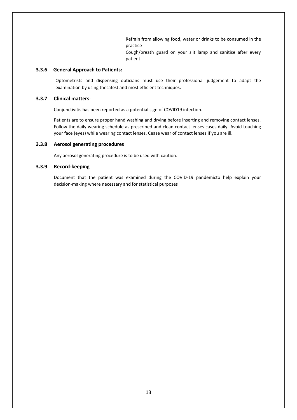Refrain from allowing food, water or drinks to be consumed in the practice

Cough/breath guard on your slit lamp and sanitise after every patient

#### **3.3.6 General Approach to Patients:**

Optometrists and dispensing opticians must use their professional judgement to adapt the examination by using thesafest and most efficient techniques.

### **3.3.7 Clinical matters**:

Conjunctivitis has been reported as a potential sign of COVID19 infection.

Patients are to ensure proper hand washing and drying before inserting and removing contact lenses, Follow the daily wearing schedule as prescribed and clean contact lenses cases daily. Avoid touching your face (eyes) while wearing contact lenses. Cease wear of contact lenses if you are ill.

#### **3.3.8 Aerosol generating procedures**

Any aerosol generating procedure is to be used with caution.

# **3.3.9 Record-keeping**

Document that the patient was examined during the COVID-19 pandemicto help explain your decision-making where necessary and for statistical purposes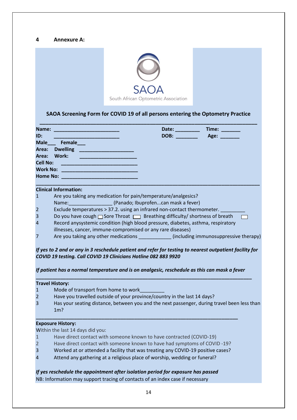# **4 Annexure A:**



# **SAOA Screening Form for COVID 19 of all persons entering the Optometry Practice**

| Name:                    | Time:<br>Date:                                    |
|--------------------------|---------------------------------------------------|
| ID:                      | DOB:<br>Age: _______<br><u> Alban a shekara t</u> |
| Female<br>Male           |                                                   |
| Area:<br><b>Dwelling</b> |                                                   |
| Area:<br>Work:           |                                                   |
| <b>Cell No:</b>          |                                                   |
| <b>Work No:</b>          |                                                   |
| <b>Home No:</b>          |                                                   |

#### **Clinical Information:**

- 1 Are you taking any medication for pain/temperature/analgesics?
- Name: [2013] (Panado; Ibuprofen...can mask a fever)
- 2 Exclude temperatures > 37.2. using an infrared non-contact thermometer.
- 3 Do you have cough  $\Box$  Sore Throat  $\Box$  Breathing difficulty/ shortness of breath
- 4 Record anysystemic condition (high blood pressure, diabetes, asthma, respiratory illnesses, cancer, immune-compromised or any rare diseases)
- 7 Are you taking any other medications **and including immunosuppressive therapy**)

 $\Box$ 

*If yes to 2 and or any in 3 reschedule patient and refer for testing to nearest outpatient facility for COVID 19 testing. Call COVID 19 Clinicians Hotline 082 883 9920*

## *If patient has a normal temperature and is on analgesic, reschedule as this can mask a fever*

|                | <b>Travel History:</b>                                                                             |  |  |  |
|----------------|----------------------------------------------------------------------------------------------------|--|--|--|
| $\mathbf{1}$   | Mode of transport from home to work                                                                |  |  |  |
| $\overline{2}$ | Have you travelled outside of your province/country in the last 14 days?                           |  |  |  |
| $\overline{3}$ | Has your seating distance, between you and the next passenger, during travel been less than<br>1m? |  |  |  |
|                | <b>Exposure History:</b>                                                                           |  |  |  |
|                | Within the last 14 days did you:                                                                   |  |  |  |
|                | Have direct contact with someone known to have contracted (COVID-19)                               |  |  |  |

- 2 Have direct contact with someone known to have had symptoms of COVID -19?
- 3 Worked at or attended a facility that was treating any COVID-19 positive cases?
- 4 Attend any gathering at a religious place of worship, wedding or funeral?

# *If yes reschedule the appointment after isolation period for exposure has passed*

NB: Information may support tracing of contacts of an index case if necessary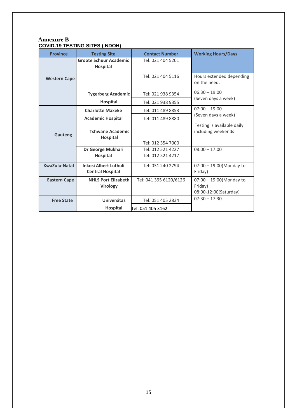# **Annexure B COVID-19 TESTING SITES ( NDOH)**

| <b>Province</b>     | <b>Testing Site</b>                                     | <b>Contact Number</b>                  | <b>Working Hours/Days</b>                                      |
|---------------------|---------------------------------------------------------|----------------------------------------|----------------------------------------------------------------|
|                     | <b>Groote Schuur Academic</b><br><b>Hospital</b>        | Tel: 021 404 5201                      |                                                                |
| <b>Western Cape</b> |                                                         | Tel: 021 404 5116                      | Hours extended depending<br>on the need.                       |
|                     | <b>Tygerberg Academic</b>                               | Tel: 021 938 9354                      | $06:30 - 19:00$                                                |
|                     | Hospital                                                | Tel: 021 938 9355                      | (Seven days a week)                                            |
|                     | <b>Charlotte Maxeke</b>                                 | Tel: 011 489 8853                      | $07:00 - 19:00$                                                |
|                     | <b>Academic Hospital</b>                                | Tel: 011 489 8880                      | (Seven days a week)                                            |
| Gauteng             | <b>Tshwane Academic</b><br><b>Hospital</b>              |                                        | Testing is available daily<br>including weekends               |
|                     |                                                         | Tel: 012 354 7000                      |                                                                |
|                     | Dr George Mukhari<br><b>Hospital</b>                    | Tel: 012 521 4227<br>Tel: 012 521 4217 | $08:00 - 17:00$                                                |
| KwaZulu-Natal       | <b>Inkosi Albert Luthuli</b><br><b>Central Hospital</b> | Tel: 031 240 2794                      | $07:00 - 19:00$ (Monday to<br>Friday)                          |
| <b>Eastern Cape</b> | <b>NHLS Port Elizabeth</b><br>Virology                  | Tel: 041 395 6120/6126                 | $07:00 - 19:00$ (Monday to<br>Friday)<br>08:00-12:00(Saturday) |
| <b>Free State</b>   | <b>Universitas</b>                                      | Tel: 051 405 2834                      | $07:30 - 17:30$                                                |
|                     | <b>Hospital</b>                                         | Tel: 051 405 3162                      |                                                                |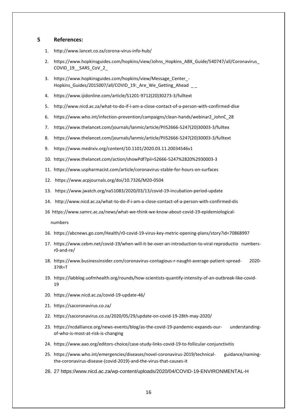#### **5 References:**

- 1. <http://www.lancet.co.za/corona-virus-info-hub/>
- 2. [https://www.hopkinsguides.com/hopkins/view/Johns\\_Hopkins\\_ABX\\_Guide/540747/all/Coronavirus\\_](https://www.hopkinsguides.com/hopkins/view/Johns_Hopkins_ABX_Guide/540747/all/Coronavirus_COVID_19__SARS_CoV_2_) [COVID\\_19\\_\\_SARS\\_CoV\\_2\\_](https://www.hopkinsguides.com/hopkins/view/Johns_Hopkins_ABX_Guide/540747/all/Coronavirus_COVID_19__SARS_CoV_2_)
- 3. [https://www.hopkinsguides.com/hopkins/view/Message\\_Center\\_-](https://www.hopkinsguides.com/hopkins/view/Message_Center_-%20Hopkins_Guides/2015007/all/COVID_19:_Are_We_Getting_Ahead%20%20_%20_) Hopkins Guides/2015007/all/COVID 19: Are We Getting Ahead
- 4. [https://www.ijidonline.com/article/S1201-9712\(20\)30273-3/fulltext](https://www.ijidonline.com/article/S1201-9712(20)30273-3/fulltext)
- 5. <http://www.nicd.ac.za/what-to-do-if-i-am-a-close-contact-of-a-person-with-confirmed-dise>
- 6. [https://www.who.int/infection-prevention/campaigns/clean-hands/webinar2\\_JohnC\\_28](https://www.who.int/infection-prevention/campaigns/clean-hands/webinar2_JohnC_28)
- 7. [https://www.thelancet.com/journals/lanmic/article/PIIS2666-5247\(20\)30003-3/fulltex](https://www.thelancet.com/journals/lanmic/article/PIIS2666-5247(20)30003-3/fulltex)
- 8. [https://www.thelancet.com/journals/lanmic/article/PIIS2666-5247\(20\)30003-3/fulltext](https://www.thelancet.com/journals/lanmic/article/PIIS2666-5247(20)30003-3/fulltext)
- 9. <https://www.medrxiv.org/content/10.1101/2020.03.11.20034546v1>
- 10. <https://www.thelancet.com/action/showPdf?pii=S2666-5247%2820%2930003-3>
- 11. <https://www.uspharmacist.com/article/coronavirus-stable-for-hours-on-surfaces>
- 12. <https://www.acpjournals.org/doi/10.7326/M20-0504>
- 13. <https://www.jwatch.org/na51083/2020/03/13/covid-19-incubation-period-update>
- 14. <http://www.nicd.ac.za/what-to-do-if-i-am-a-close-contact-of-a-person-with-confirmed-dis>
- 16 [https://www.samrc.ac.za/news/what-we-think-we-know-about-covid-19-epidemiological-](https://www.samrc.ac.za/news/what-we-think-we-know-about-covid-19-epidemiological-%20%20%20%20%20%20%20%20%20%20%20%20%20%20%20%20%20numbers)

 [numbers](https://www.samrc.ac.za/news/what-we-think-we-know-about-covid-19-epidemiological-%20%20%20%20%20%20%20%20%20%20%20%20%20%20%20%20%20numbers)

- 16. <https://abcnews.go.com/Health/r0-covid-19-virus-key-metric-opening-plans/story?id=70868997>
- 17. [https://www.cebm.net/covid-19/when-will-it-be-over-an-introduction-to-viral-reproductio numbers](https://www.cebm.net/covid-19/when-will-it-be-over-an-introduction-to-viral-reproductio%20numbers-r0-and-re/)[r0-and-re/](https://www.cebm.net/covid-19/when-will-it-be-over-an-introduction-to-viral-reproductio%20numbers-r0-and-re/)
- 18. [https://www.businessinsider.com/coronavirus-contagious-r-naught-average-patient-spread- 2020-](https://www.businessinsider.com/coronavirus-contagious-r-naught-average-patient-spread-%20%20%202020-3?IR=T) [3?IR=T](https://www.businessinsider.com/coronavirus-contagious-r-naught-average-patient-spread-%20%20%202020-3?IR=T)
- 19. [https://labblog.uofmhealth.org/rounds/how-scientists-quantify-intensity-of-an-outbreak-like-covid-](https://labblog.uofmhealth.org/rounds/how-scientists-quantify-intensity-of-an-outbreak-like-covid-19)[19](https://labblog.uofmhealth.org/rounds/how-scientists-quantify-intensity-of-an-outbreak-like-covid-19)
- 20. <https://www.nicd.ac.za/covid-19-update-46/>
- 21. <https://sacoronavirus.co.za/>
- 22. <https://sacoronavirus.co.za/2020/05/29/update-on-covid-19-28th-may-2020/>
- 23. [https://ncdalliance.org/news-events/blog/as-the-covid-19-pandemic-expands-our- understanding](https://ncdalliance.org/news-events/blog/as-the-covid-19-pandemic-expands-our-%20%20%20%20%20understanding-of-who-is-most-at-risk-is-changing)[of-who-is-most-at-risk-is-changing](https://ncdalliance.org/news-events/blog/as-the-covid-19-pandemic-expands-our-%20%20%20%20%20understanding-of-who-is-most-at-risk-is-changing)
- 24. <https://www.aao.org/editors-choice/case-study-links-covid-19-to-follicular-conjunctivitis>
- 25. [https://www.who.int/emergencies/diseases/novel-coronavirus-2019/technical- guidance/naming](https://www.who.int/emergencies/diseases/novel-coronavirus-2019/technical-%20%20guidance/naming-the-coronavirus-disease-(covid-2019)-and-the-virus-that-causes-it)[the-coronavirus-disease-\(covid-2019\)-and-the-virus-that-causes-it](https://www.who.int/emergencies/diseases/novel-coronavirus-2019/technical-%20%20guidance/naming-the-coronavirus-disease-(covid-2019)-and-the-virus-that-causes-it)
- 26. 27<https://www.nicd.ac.za/wp-content/uploads/2020/04/COVID-19-ENVIRONMENTAL-H>